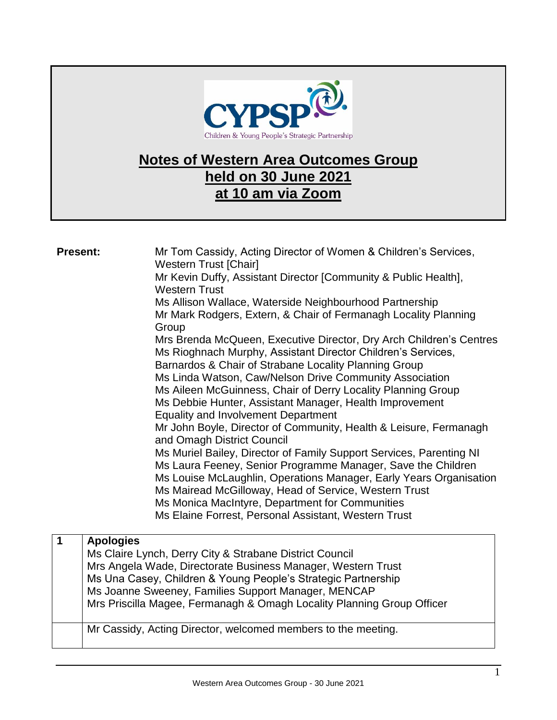

## **Notes of Western Area Outcomes Group held on 30 June 2021 at 10 am via Zoom**

| <b>Present:</b>         |                  | Mr Tom Cassidy, Acting Director of Women & Children's Services,<br><b>Western Trust [Chair]</b><br>Mr Kevin Duffy, Assistant Director [Community & Public Health],<br><b>Western Trust</b><br>Ms Allison Wallace, Waterside Neighbourhood Partnership<br>Mr Mark Rodgers, Extern, & Chair of Fermanagh Locality Planning<br>Group<br>Mrs Brenda McQueen, Executive Director, Dry Arch Children's Centres<br>Ms Rioghnach Murphy, Assistant Director Children's Services,<br>Barnardos & Chair of Strabane Locality Planning Group<br>Ms Linda Watson, Caw/Nelson Drive Community Association<br>Ms Aileen McGuinness, Chair of Derry Locality Planning Group<br>Ms Debbie Hunter, Assistant Manager, Health Improvement<br><b>Equality and Involvement Department</b><br>Mr John Boyle, Director of Community, Health & Leisure, Fermanagh<br>and Omagh District Council<br>Ms Muriel Bailey, Director of Family Support Services, Parenting NI<br>Ms Laura Feeney, Senior Programme Manager, Save the Children<br>Ms Louise McLaughlin, Operations Manager, Early Years Organisation<br>Ms Mairead McGilloway, Head of Service, Western Trust<br>Ms Monica MacIntyre, Department for Communities<br>Ms Elaine Forrest, Personal Assistant, Western Trust |
|-------------------------|------------------|-----------------------------------------------------------------------------------------------------------------------------------------------------------------------------------------------------------------------------------------------------------------------------------------------------------------------------------------------------------------------------------------------------------------------------------------------------------------------------------------------------------------------------------------------------------------------------------------------------------------------------------------------------------------------------------------------------------------------------------------------------------------------------------------------------------------------------------------------------------------------------------------------------------------------------------------------------------------------------------------------------------------------------------------------------------------------------------------------------------------------------------------------------------------------------------------------------------------------------------------------------------|
| $\overline{\mathbf{1}}$ | <b>Apologies</b> | Ms Claire Lynch, Derry City & Strabane District Council<br>Mrs Angela Wade, Directorate Business Manager, Western Trust<br>Ms Una Casey, Children & Young People's Strategic Partnership                                                                                                                                                                                                                                                                                                                                                                                                                                                                                                                                                                                                                                                                                                                                                                                                                                                                                                                                                                                                                                                                  |

Ms Joanne Sweeney, Families Support Manager, MENCAP

Mrs Priscilla Magee, Fermanagh & Omagh Locality Planning Group Officer

Mr Cassidy, Acting Director, welcomed members to the meeting.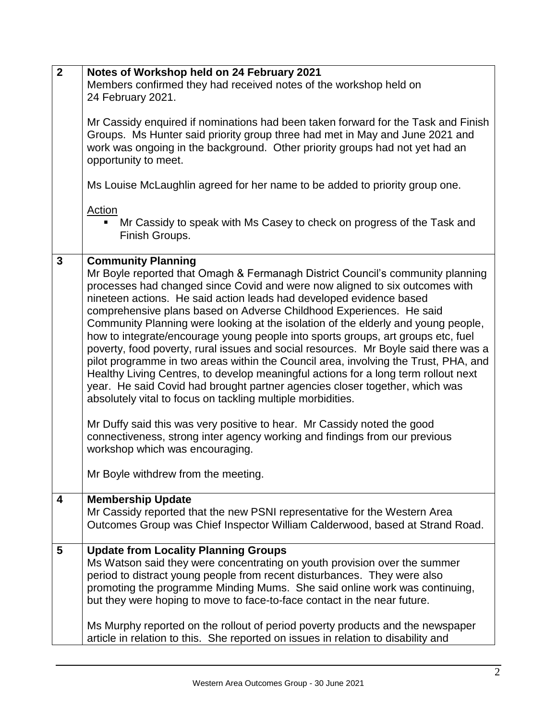| $\overline{2}$ | Notes of Workshop held on 24 February 2021                                                                                                                                                                                                                                                                                                                                                                                                                                                                                                                                                                                                                                                                                                                                                                                                                                                                                                                                        |
|----------------|-----------------------------------------------------------------------------------------------------------------------------------------------------------------------------------------------------------------------------------------------------------------------------------------------------------------------------------------------------------------------------------------------------------------------------------------------------------------------------------------------------------------------------------------------------------------------------------------------------------------------------------------------------------------------------------------------------------------------------------------------------------------------------------------------------------------------------------------------------------------------------------------------------------------------------------------------------------------------------------|
|                | Members confirmed they had received notes of the workshop held on                                                                                                                                                                                                                                                                                                                                                                                                                                                                                                                                                                                                                                                                                                                                                                                                                                                                                                                 |
|                | 24 February 2021.                                                                                                                                                                                                                                                                                                                                                                                                                                                                                                                                                                                                                                                                                                                                                                                                                                                                                                                                                                 |
|                |                                                                                                                                                                                                                                                                                                                                                                                                                                                                                                                                                                                                                                                                                                                                                                                                                                                                                                                                                                                   |
|                | Mr Cassidy enquired if nominations had been taken forward for the Task and Finish<br>Groups. Ms Hunter said priority group three had met in May and June 2021 and<br>work was ongoing in the background. Other priority groups had not yet had an<br>opportunity to meet.                                                                                                                                                                                                                                                                                                                                                                                                                                                                                                                                                                                                                                                                                                         |
|                | Ms Louise McLaughlin agreed for her name to be added to priority group one.                                                                                                                                                                                                                                                                                                                                                                                                                                                                                                                                                                                                                                                                                                                                                                                                                                                                                                       |
|                | <b>Action</b><br>Mr Cassidy to speak with Ms Casey to check on progress of the Task and<br>Finish Groups.                                                                                                                                                                                                                                                                                                                                                                                                                                                                                                                                                                                                                                                                                                                                                                                                                                                                         |
| $\overline{3}$ | <b>Community Planning</b>                                                                                                                                                                                                                                                                                                                                                                                                                                                                                                                                                                                                                                                                                                                                                                                                                                                                                                                                                         |
|                | Mr Boyle reported that Omagh & Fermanagh District Council's community planning<br>processes had changed since Covid and were now aligned to six outcomes with<br>nineteen actions. He said action leads had developed evidence based<br>comprehensive plans based on Adverse Childhood Experiences. He said<br>Community Planning were looking at the isolation of the elderly and young people,<br>how to integrate/encourage young people into sports groups, art groups etc, fuel<br>poverty, food poverty, rural issues and social resources. Mr Boyle said there was a<br>pilot programme in two areas within the Council area, involving the Trust, PHA, and<br>Healthy Living Centres, to develop meaningful actions for a long term rollout next<br>year. He said Covid had brought partner agencies closer together, which was<br>absolutely vital to focus on tackling multiple morbidities.<br>Mr Duffy said this was very positive to hear. Mr Cassidy noted the good |
|                | connectiveness, strong inter agency working and findings from our previous<br>workshop which was encouraging.                                                                                                                                                                                                                                                                                                                                                                                                                                                                                                                                                                                                                                                                                                                                                                                                                                                                     |
|                | Mr Boyle withdrew from the meeting.                                                                                                                                                                                                                                                                                                                                                                                                                                                                                                                                                                                                                                                                                                                                                                                                                                                                                                                                               |
| 4              | <b>Membership Update</b>                                                                                                                                                                                                                                                                                                                                                                                                                                                                                                                                                                                                                                                                                                                                                                                                                                                                                                                                                          |
|                | Mr Cassidy reported that the new PSNI representative for the Western Area                                                                                                                                                                                                                                                                                                                                                                                                                                                                                                                                                                                                                                                                                                                                                                                                                                                                                                         |
|                | Outcomes Group was Chief Inspector William Calderwood, based at Strand Road.                                                                                                                                                                                                                                                                                                                                                                                                                                                                                                                                                                                                                                                                                                                                                                                                                                                                                                      |
| 5              | <b>Update from Locality Planning Groups</b>                                                                                                                                                                                                                                                                                                                                                                                                                                                                                                                                                                                                                                                                                                                                                                                                                                                                                                                                       |
|                | Ms Watson said they were concentrating on youth provision over the summer                                                                                                                                                                                                                                                                                                                                                                                                                                                                                                                                                                                                                                                                                                                                                                                                                                                                                                         |
|                |                                                                                                                                                                                                                                                                                                                                                                                                                                                                                                                                                                                                                                                                                                                                                                                                                                                                                                                                                                                   |
|                | period to distract young people from recent disturbances. They were also                                                                                                                                                                                                                                                                                                                                                                                                                                                                                                                                                                                                                                                                                                                                                                                                                                                                                                          |
|                | promoting the programme Minding Mums. She said online work was continuing,<br>but they were hoping to move to face-to-face contact in the near future.                                                                                                                                                                                                                                                                                                                                                                                                                                                                                                                                                                                                                                                                                                                                                                                                                            |
|                | Ms Murphy reported on the rollout of period poverty products and the newspaper<br>article in relation to this. She reported on issues in relation to disability and                                                                                                                                                                                                                                                                                                                                                                                                                                                                                                                                                                                                                                                                                                                                                                                                               |
|                |                                                                                                                                                                                                                                                                                                                                                                                                                                                                                                                                                                                                                                                                                                                                                                                                                                                                                                                                                                                   |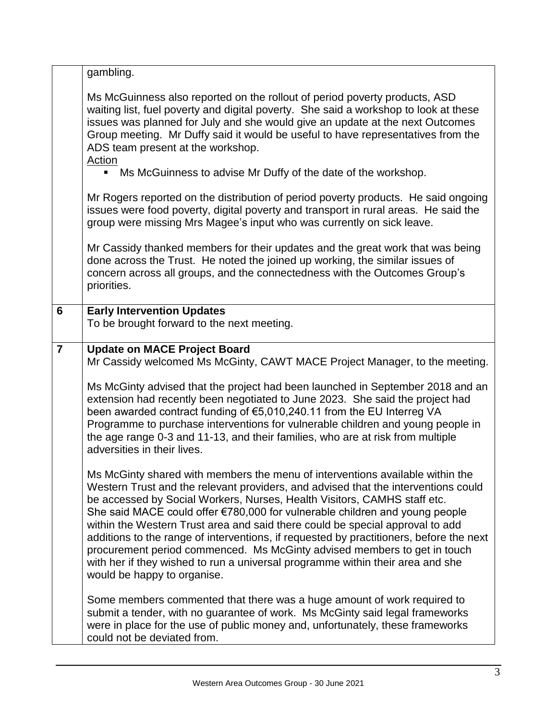|                | gambling.                                                                                                                                                                                                                                                                                                                                                                                                                                                                                                                                                                                                                                                                                               |
|----------------|---------------------------------------------------------------------------------------------------------------------------------------------------------------------------------------------------------------------------------------------------------------------------------------------------------------------------------------------------------------------------------------------------------------------------------------------------------------------------------------------------------------------------------------------------------------------------------------------------------------------------------------------------------------------------------------------------------|
|                | Ms McGuinness also reported on the rollout of period poverty products, ASD<br>waiting list, fuel poverty and digital poverty. She said a workshop to look at these<br>issues was planned for July and she would give an update at the next Outcomes<br>Group meeting. Mr Duffy said it would be useful to have representatives from the<br>ADS team present at the workshop.<br>Action                                                                                                                                                                                                                                                                                                                  |
|                | Ms McGuinness to advise Mr Duffy of the date of the workshop.<br>$\blacksquare$                                                                                                                                                                                                                                                                                                                                                                                                                                                                                                                                                                                                                         |
|                | Mr Rogers reported on the distribution of period poverty products. He said ongoing<br>issues were food poverty, digital poverty and transport in rural areas. He said the<br>group were missing Mrs Magee's input who was currently on sick leave.                                                                                                                                                                                                                                                                                                                                                                                                                                                      |
|                | Mr Cassidy thanked members for their updates and the great work that was being<br>done across the Trust. He noted the joined up working, the similar issues of<br>concern across all groups, and the connectedness with the Outcomes Group's<br>priorities.                                                                                                                                                                                                                                                                                                                                                                                                                                             |
| 6              | <b>Early Intervention Updates</b><br>To be brought forward to the next meeting.                                                                                                                                                                                                                                                                                                                                                                                                                                                                                                                                                                                                                         |
| $\overline{7}$ | <b>Update on MACE Project Board</b><br>Mr Cassidy welcomed Ms McGinty, CAWT MACE Project Manager, to the meeting.                                                                                                                                                                                                                                                                                                                                                                                                                                                                                                                                                                                       |
|                | Ms McGinty advised that the project had been launched in September 2018 and an<br>extension had recently been negotiated to June 2023. She said the project had<br>been awarded contract funding of €5,010,240.11 from the EU Interreg VA<br>Programme to purchase interventions for vulnerable children and young people in<br>the age range 0-3 and 11-13, and their families, who are at risk from multiple<br>adversities in their lives.                                                                                                                                                                                                                                                           |
|                | Ms McGinty shared with members the menu of interventions available within the<br>Western Trust and the relevant providers, and advised that the interventions could<br>be accessed by Social Workers, Nurses, Health Visitors, CAMHS staff etc.<br>She said MACE could offer €780,000 for vulnerable children and young people<br>within the Western Trust area and said there could be special approval to add<br>additions to the range of interventions, if requested by practitioners, before the next<br>procurement period commenced. Ms McGinty advised members to get in touch<br>with her if they wished to run a universal programme within their area and she<br>would be happy to organise. |
|                | Some members commented that there was a huge amount of work required to<br>submit a tender, with no guarantee of work. Ms McGinty said legal frameworks<br>were in place for the use of public money and, unfortunately, these frameworks<br>could not be deviated from.                                                                                                                                                                                                                                                                                                                                                                                                                                |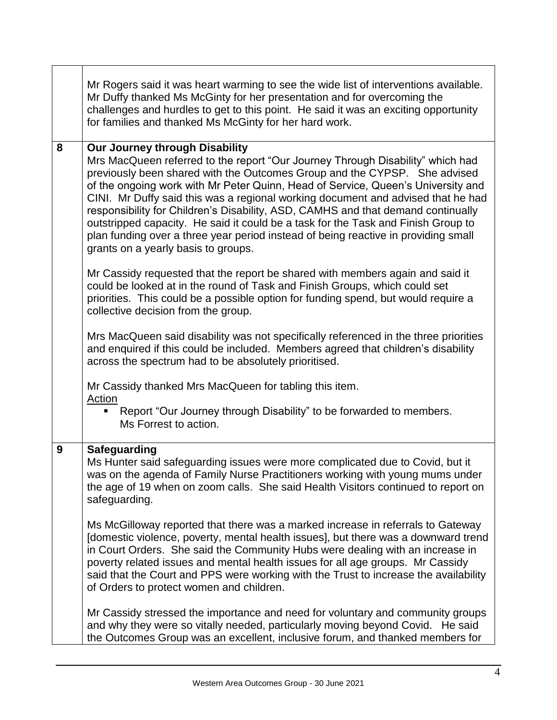|   | Mr Rogers said it was heart warming to see the wide list of interventions available.<br>Mr Duffy thanked Ms McGinty for her presentation and for overcoming the<br>challenges and hurdles to get to this point. He said it was an exciting opportunity<br>for families and thanked Ms McGinty for her hard work.                                                                                                                                                                                                                                                                                                                                                            |
|---|-----------------------------------------------------------------------------------------------------------------------------------------------------------------------------------------------------------------------------------------------------------------------------------------------------------------------------------------------------------------------------------------------------------------------------------------------------------------------------------------------------------------------------------------------------------------------------------------------------------------------------------------------------------------------------|
| 8 | Our Journey through Disability<br>Mrs MacQueen referred to the report "Our Journey Through Disability" which had<br>previously been shared with the Outcomes Group and the CYPSP. She advised<br>of the ongoing work with Mr Peter Quinn, Head of Service, Queen's University and<br>CINI. Mr Duffy said this was a regional working document and advised that he had<br>responsibility for Children's Disability, ASD, CAMHS and that demand continually<br>outstripped capacity. He said it could be a task for the Task and Finish Group to<br>plan funding over a three year period instead of being reactive in providing small<br>grants on a yearly basis to groups. |
|   | Mr Cassidy requested that the report be shared with members again and said it<br>could be looked at in the round of Task and Finish Groups, which could set<br>priorities. This could be a possible option for funding spend, but would require a<br>collective decision from the group.                                                                                                                                                                                                                                                                                                                                                                                    |
|   | Mrs MacQueen said disability was not specifically referenced in the three priorities<br>and enquired if this could be included. Members agreed that children's disability<br>across the spectrum had to be absolutely prioritised.                                                                                                                                                                                                                                                                                                                                                                                                                                          |
|   | Mr Cassidy thanked Mrs MacQueen for tabling this item.                                                                                                                                                                                                                                                                                                                                                                                                                                                                                                                                                                                                                      |
|   | Action<br>Report "Our Journey through Disability" to be forwarded to members.<br>Ms Forrest to action.                                                                                                                                                                                                                                                                                                                                                                                                                                                                                                                                                                      |
| 9 | <b>Safeguarding</b>                                                                                                                                                                                                                                                                                                                                                                                                                                                                                                                                                                                                                                                         |
|   | Ms Hunter said safeguarding issues were more complicated due to Covid, but it<br>was on the agenda of Family Nurse Practitioners working with young mums under<br>the age of 19 when on zoom calls. She said Health Visitors continued to report on<br>safeguarding.                                                                                                                                                                                                                                                                                                                                                                                                        |
|   | Ms McGilloway reported that there was a marked increase in referrals to Gateway<br>[domestic violence, poverty, mental health issues], but there was a downward trend<br>in Court Orders. She said the Community Hubs were dealing with an increase in<br>poverty related issues and mental health issues for all age groups. Mr Cassidy<br>said that the Court and PPS were working with the Trust to increase the availability<br>of Orders to protect women and children.                                                                                                                                                                                                |
|   | Mr Cassidy stressed the importance and need for voluntary and community groups<br>and why they were so vitally needed, particularly moving beyond Covid. He said<br>the Outcomes Group was an excellent, inclusive forum, and thanked members for                                                                                                                                                                                                                                                                                                                                                                                                                           |

٦